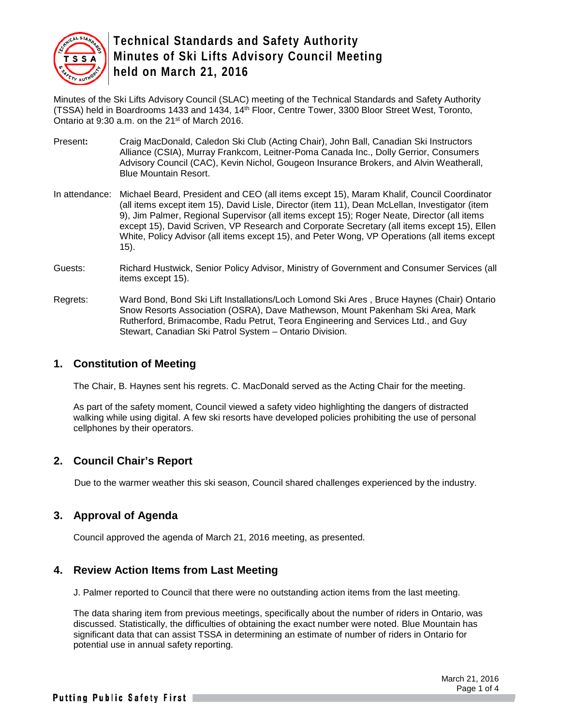

Minutes of the Ski Lifts Advisory Council (SLAC) meeting of the Technical Standards and Safety Authority (TSSA) held in Boardrooms 1433 and 1434, 14<sup>th</sup> Floor, Centre Tower, 3300 Bloor Street West, Toronto, Ontario at 9:30 a.m. on the 21<sup>st</sup> of March 2016.

- Present**:** Craig MacDonald, Caledon Ski Club (Acting Chair), John Ball, Canadian Ski Instructors Alliance (CSIA), Murray Frankcom, Leitner-Poma Canada Inc., Dolly Gerrior, Consumers Advisory Council (CAC), Kevin Nichol, Gougeon Insurance Brokers, and Alvin Weatherall, Blue Mountain Resort.
- In attendance: Michael Beard, President and CEO (all items except 15), Maram Khalif, Council Coordinator (all items except item 15), David Lisle, Director (item 11), Dean McLellan, Investigator (item 9), Jim Palmer, Regional Supervisor (all items except 15); Roger Neate, Director (all items except 15), David Scriven, VP Research and Corporate Secretary (all items except 15), Ellen White, Policy Advisor (all items except 15), and Peter Wong, VP Operations (all items except 15).
- Guests: Richard Hustwick, Senior Policy Advisor, Ministry of Government and Consumer Services (all items except 15).
- Regrets: Ward Bond, Bond Ski Lift Installations/Loch Lomond Ski Ares , Bruce Haynes (Chair) Ontario Snow Resorts Association (OSRA), Dave Mathewson, Mount Pakenham Ski Area, Mark Rutherford, Brimacombe, Radu Petrut, Teora Engineering and Services Ltd., and Guy Stewart, Canadian Ski Patrol System – Ontario Division.

#### **1. Constitution of Meeting**

The Chair, B. Haynes sent his regrets. C. MacDonald served as the Acting Chair for the meeting.

As part of the safety moment, Council viewed a safety video highlighting the dangers of distracted walking while using digital. A few ski resorts have developed policies prohibiting the use of personal cellphones by their operators.

### **2. Council Chair's Report**

Due to the warmer weather this ski season, Council shared challenges experienced by the industry.

### **3. Approval of Agenda**

Council approved the agenda of March 21, 2016 meeting, as presented.

### **4. Review Action Items from Last Meeting**

J. Palmer reported to Council that there were no outstanding action items from the last meeting.

The data sharing item from previous meetings, specifically about the number of riders in Ontario, was discussed. Statistically, the difficulties of obtaining the exact number were noted. Blue Mountain has significant data that can assist TSSA in determining an estimate of number of riders in Ontario for potential use in annual safety reporting.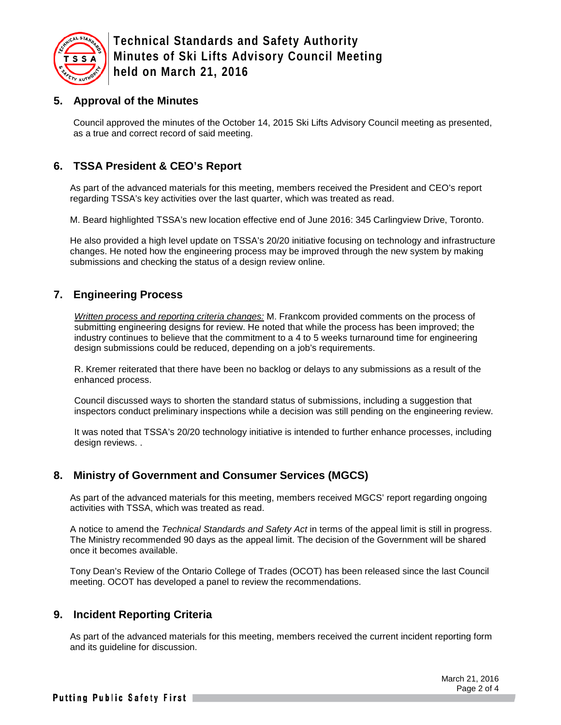

### **5. Approval of the Minutes**

Council approved the minutes of the October 14, 2015 Ski Lifts Advisory Council meeting as presented, as a true and correct record of said meeting.

## **6. TSSA President & CEO's Report**

As part of the advanced materials for this meeting, members received the President and CEO's report regarding TSSA's key activities over the last quarter, which was treated as read.

M. Beard highlighted TSSA's new location effective end of June 2016: 345 Carlingview Drive, Toronto.

He also provided a high level update on TSSA's 20/20 initiative focusing on technology and infrastructure changes. He noted how the engineering process may be improved through the new system by making submissions and checking the status of a design review online.

## **7. Engineering Process**

*Written process and reporting criteria changes:* M. Frankcom provided comments on the process of submitting engineering designs for review. He noted that while the process has been improved; the industry continues to believe that the commitment to a 4 to 5 weeks turnaround time for engineering design submissions could be reduced, depending on a job's requirements.

R. Kremer reiterated that there have been no backlog or delays to any submissions as a result of the enhanced process.

Council discussed ways to shorten the standard status of submissions, including a suggestion that inspectors conduct preliminary inspections while a decision was still pending on the engineering review.

It was noted that TSSA's 20/20 technology initiative is intended to further enhance processes, including design reviews. .

### **8. Ministry of Government and Consumer Services (MGCS)**

As part of the advanced materials for this meeting, members received MGCS' report regarding ongoing activities with TSSA, which was treated as read.

A notice to amend the *Technical Standards and Safety Act* in terms of the appeal limit is still in progress. The Ministry recommended 90 days as the appeal limit. The decision of the Government will be shared once it becomes available.

Tony Dean's Review of the Ontario College of Trades (OCOT) has been released since the last Council meeting. OCOT has developed a panel to review the recommendations.

### **9. Incident Reporting Criteria**

As part of the advanced materials for this meeting, members received the current incident reporting form and its guideline for discussion.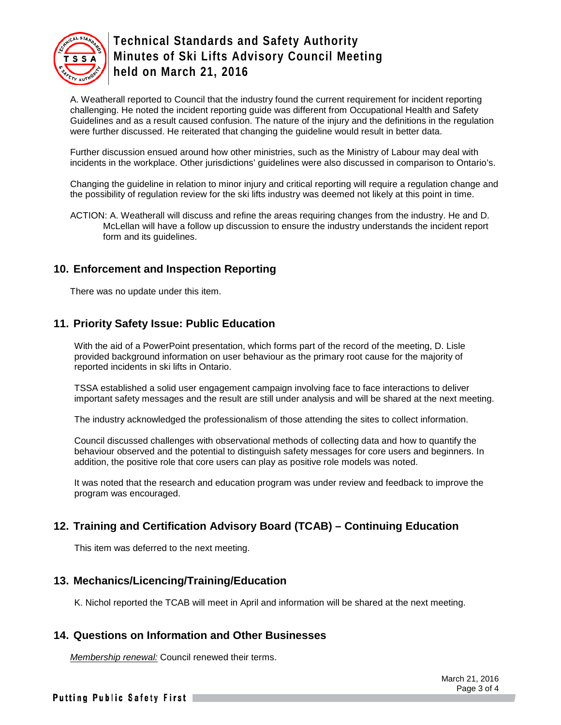

A. Weatherall reported to Council that the industry found the current requirement for incident reporting challenging. He noted the incident reporting guide was different from Occupational Health and Safety Guidelines and as a result caused confusion. The nature of the injury and the definitions in the regulation were further discussed. He reiterated that changing the guideline would result in better data.

Further discussion ensued around how other ministries, such as the Ministry of Labour may deal with incidents in the workplace. Other jurisdictions' guidelines were also discussed in comparison to Ontario's.

Changing the guideline in relation to minor injury and critical reporting will require a regulation change and the possibility of regulation review for the ski lifts industry was deemed not likely at this point in time.

ACTION: A. Weatherall will discuss and refine the areas requiring changes from the industry. He and D. McLellan will have a follow up discussion to ensure the industry understands the incident report form and its guidelines.

#### **10. Enforcement and Inspection Reporting**

There was no update under this item.

#### **11. Priority Safety Issue: Public Education**

With the aid of a PowerPoint presentation, which forms part of the record of the meeting, D. Lisle provided background information on user behaviour as the primary root cause for the majority of reported incidents in ski lifts in Ontario.

TSSA established a solid user engagement campaign involving face to face interactions to deliver important safety messages and the result are still under analysis and will be shared at the next meeting.

The industry acknowledged the professionalism of those attending the sites to collect information.

Council discussed challenges with observational methods of collecting data and how to quantify the behaviour observed and the potential to distinguish safety messages for core users and beginners. In addition, the positive role that core users can play as positive role models was noted.

It was noted that the research and education program was under review and feedback to improve the program was encouraged.

### **12. Training and Certification Advisory Board (TCAB) – Continuing Education**

This item was deferred to the next meeting.

#### **13. Mechanics/Licencing/Training/Education**

K. Nichol reported the TCAB will meet in April and information will be shared at the next meeting.

#### **14. Questions on Information and Other Businesses**

*Membership renewal:* Council renewed their terms.